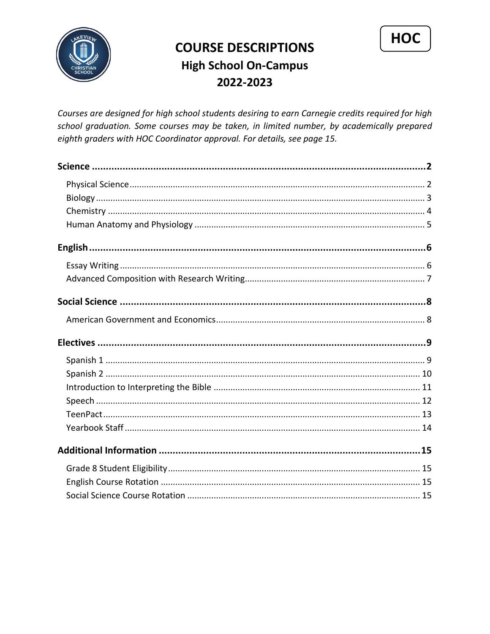

# **COURSE DESCRIPTIONS High School On-Campus** 2022-2023

HOC

Courses are designed for high school students desiring to earn Carnegie credits required for high school graduation. Some courses may be taken, in limited number, by academically prepared eighth graders with HOC Coordinator approval. For details, see page 15.

<span id="page-0-0"></span>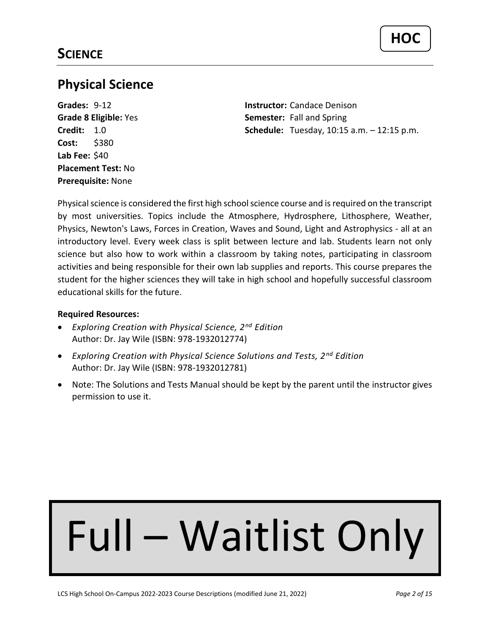# <span id="page-1-0"></span>**Physical Science**

**Cost:** \$380 **Lab Fee:** \$40 **Placement Test:** No **Prerequisite:** None

**Grades:** 9-12 **Instructor:** Candace Denison **Grade 8 Eligible:** Yes **Semester:** Fall and Spring **Credit:** 1.0 **Schedule:** Tuesday, 10:15 a.m. – 12:15 p.m.

Physical science is considered the first high school science course and is required on the transcript by most universities. Topics include the Atmosphere, Hydrosphere, Lithosphere, Weather, Physics, Newton's Laws, Forces in Creation, Waves and Sound, Light and Astrophysics - all at an introductory level. Every week class is split between lecture and lab. Students learn not only science but also how to work within a classroom by taking notes, participating in classroom activities and being responsible for their own lab supplies and reports. This course prepares the student for the higher sciences they will take in high school and hopefully successful classroom educational skills for the future.

## **Required Resources:**

- *Exploring Creation with Physical Science, 2nd Edition* Author: Dr. Jay Wile (ISBN: 978-1932012774)
- *Exploring Creation with Physical Science Solutions and Tests, 2 nd Edition* Author: Dr. Jay Wile (ISBN: 978-1932012781)
- Note: The Solutions and Tests Manual should be kept by the parent until the instructor gives permission to use it.

# Full – Waitlist Only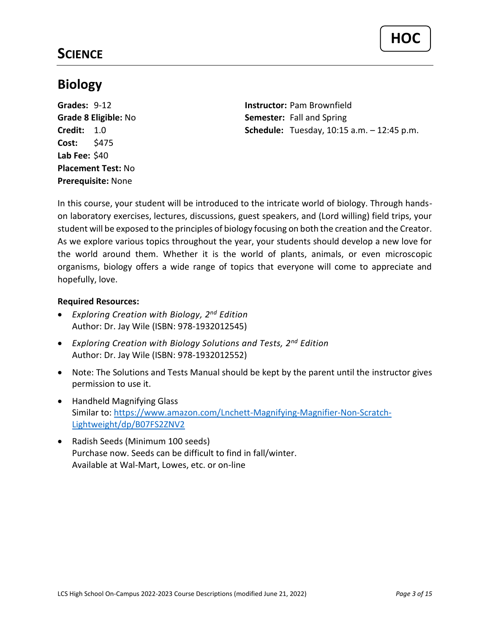# **SCIENCE**

# <span id="page-2-0"></span>**Biology**

**Cost:** \$475 **Lab Fee:** \$40 **Placement Test:** No **Prerequisite:** None

**Grades:** 9-12 **Instructor:** Pam Brownfield **Grade 8 Eligible:** No **Semester:** Fall and Spring **Credit:** 1.0 **Schedule:** Tuesday, 10:15 a.m. – 12:45 p.m.

In this course, your student will be introduced to the intricate world of biology. Through handson laboratory exercises, lectures, discussions, guest speakers, and (Lord willing) field trips, your student will be exposed to the principles of biology focusing on both the creation and the Creator. As we explore various topics throughout the year, your students should develop a new love for the world around them. Whether it is the world of plants, animals, or even microscopic organisms, biology offers a wide range of topics that everyone will come to appreciate and hopefully, love.

- *Exploring Creation with Biology, 2nd Edition* Author: Dr. Jay Wile (ISBN: 978-1932012545)
- *Exploring Creation with Biology Solutions and Tests, 2nd Edition* Author: Dr. Jay Wile (ISBN: 978-1932012552)
- Note: The Solutions and Tests Manual should be kept by the parent until the instructor gives permission to use it.
- Handheld Magnifying Glass Similar to: [https://www.amazon.com/Lnchett-Magnifying-Magnifier-Non-Scratch-](https://www.amazon.com/Lnchett-Magnifying-Magnifier-Non-Scratch-Lightweight/dp/B07FS2ZNV2)[Lightweight/dp/B07FS2ZNV2](https://www.amazon.com/Lnchett-Magnifying-Magnifier-Non-Scratch-Lightweight/dp/B07FS2ZNV2)
- Radish Seeds (Minimum 100 seeds) Purchase now. Seeds can be difficult to find in fall/winter. Available at Wal-Mart, Lowes, etc. or on-line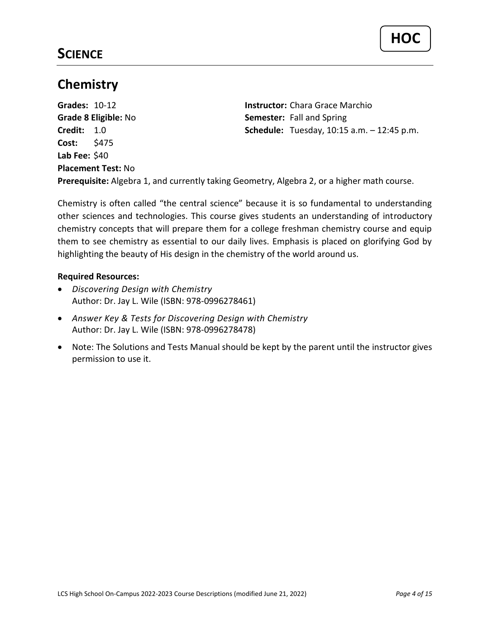# **SCIENCE**

## <span id="page-3-0"></span>**Chemistry**

**Grades:** 10-12 **Instructor:** Chara Grace Marchio **Grade 8 Eligible:** No **Semester:** Fall and Spring **Credit:** 1.0 **Schedule:** Tuesday, 10:15 a.m. – 12:45 p.m. **Cost:** \$475 **Lab Fee:** \$40 **Placement Test:** No **Prerequisite:** Algebra 1, and currently taking Geometry, Algebra 2, or a higher math course.

Chemistry is often called "the central science" because it is so fundamental to understanding other sciences and technologies. This course gives students an understanding of introductory chemistry concepts that will prepare them for a college freshman chemistry course and equip them to see chemistry as essential to our daily lives. Emphasis is placed on glorifying God by highlighting the beauty of His design in the chemistry of the world around us.

- *Discovering Design with Chemistry* Author: Dr. Jay L. Wile (ISBN: 978-0996278461)
- *Answer Key & Tests for Discovering Design with Chemistry* Author: Dr. Jay L. Wile (ISBN: 978-0996278478)
- Note: The Solutions and Tests Manual should be kept by the parent until the instructor gives permission to use it.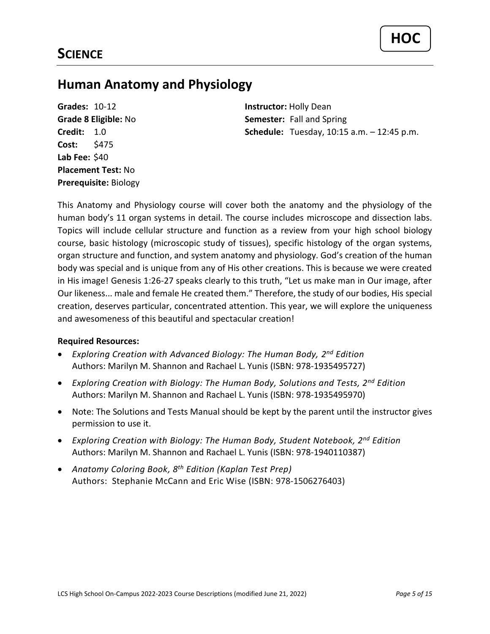## <span id="page-4-0"></span>**Human Anatomy and Physiology**

**Grades:** 10-12 **Instructor:** Holly Dean **Cost:** \$475 **Lab Fee:** \$40 **Placement Test:** No **Prerequisite:** Biology

**Grade 8 Eligible:** No **Semester:** Fall and Spring **Credit:** 1.0 **Schedule:** Tuesday, 10:15 a.m. – 12:45 p.m.

This Anatomy and Physiology course will cover both the anatomy and the physiology of the human body's 11 organ systems in detail. The course includes microscope and dissection labs. Topics will include cellular structure and function as a review from your high school biology course, basic histology (microscopic study of tissues), specific histology of the organ systems, organ structure and function, and system anatomy and physiology. God's creation of the human body was special and is unique from any of His other creations. This is because we were created in His image! Genesis 1:26-27 speaks clearly to this truth, "Let us make man in Our image, after Our likeness... male and female He created them." Therefore, the study of our bodies, His special creation, deserves particular, concentrated attention. This year, we will explore the uniqueness and awesomeness of this beautiful and spectacular creation!

- *Exploring Creation with Advanced Biology: The Human Body, 2 nd Edition* Authors: Marilyn M. Shannon and Rachael L. Yunis (ISBN: 978-1935495727)
- *Exploring Creation with Biology: The Human Body, Solutions and Tests, 2nd Edition* Authors: Marilyn M. Shannon and Rachael L. Yunis (ISBN: 978-1935495970)
- Note: The Solutions and Tests Manual should be kept by the parent until the instructor gives permission to use it.
- *Exploring Creation with Biology: The Human Body, Student Notebook, 2nd Edition* Authors: Marilyn M. Shannon and Rachael L. Yunis (ISBN: 978-1940110387)
- *Anatomy Coloring Book, 8 th Edition (Kaplan Test Prep)* Authors: Stephanie McCann and Eric Wise (ISBN: 978-1506276403)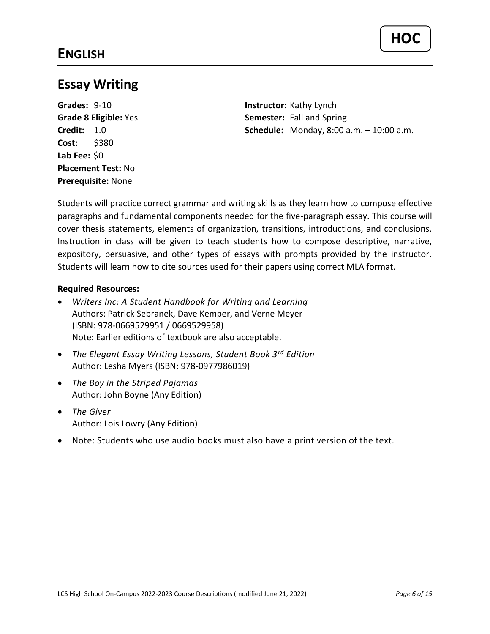# <span id="page-5-1"></span><span id="page-5-0"></span>**Essay Writing**

**Grades:** 9-10 **Instructor:** Kathy Lynch **Cost:** \$380 **Lab Fee:** \$0 **Placement Test:** No **Prerequisite:** None

**Grade 8 Eligible:** Yes **Semester:** Fall and Spring **Credit:** 1.0 **Schedule:** Monday, 8:00 a.m. – 10:00 a.m.

Students will practice correct grammar and writing skills as they learn how to compose effective paragraphs and fundamental components needed for the five-paragraph essay. This course will cover thesis statements, elements of organization, transitions, introductions, and conclusions. Instruction in class will be given to teach students how to compose descriptive, narrative, expository, persuasive, and other types of essays with prompts provided by the instructor. Students will learn how to cite sources used for their papers using correct MLA format.

- *Writers Inc: A Student Handbook for Writing and Learning* Authors: Patrick Sebranek, Dave Kemper, and Verne Meyer (ISBN: 978-0669529951 / 0669529958) Note: Earlier editions of textbook are also acceptable.
- *The Elegant Essay Writing Lessons, Student Book 3rd Edition*  Author: Lesha Myers (ISBN: 978-0977986019)
- *The Boy in the Striped Pajamas* Author: John Boyne (Any Edition)
- *The Giver* Author: Lois Lowry (Any Edition)
- Note: Students who use audio books must also have a print version of the text.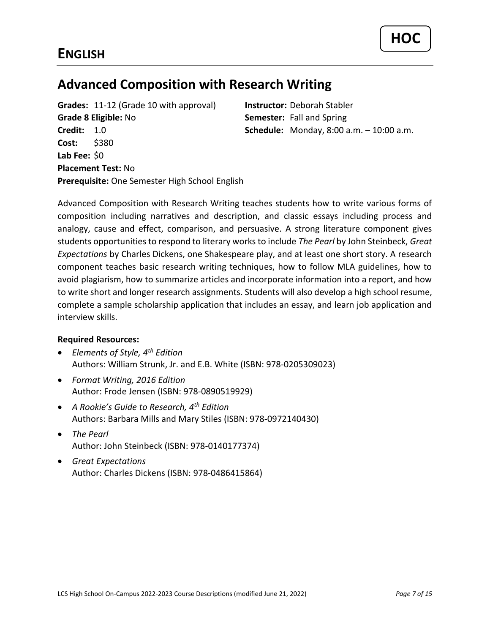# <span id="page-6-0"></span>**Advanced Composition with Research Writing**

**Grades:** 11-12 (Grade 10 with approval) **Instructor:** Deborah Stabler **Grade 8 Eligible:** No **Semester:** Fall and Spring **Credit:** 1.0 **Schedule:** Monday, 8:00 a.m. – 10:00 a.m. **Cost:** \$380 **Lab Fee:** \$0 **Placement Test:** No **Prerequisite:** One Semester High School English

Advanced Composition with Research Writing teaches students how to write various forms of composition including narratives and description, and classic essays including process and analogy, cause and effect, comparison, and persuasive. A strong literature component gives students opportunities to respond to literary works to include *The Pearl* by John Steinbeck, *Great Expectations* by Charles Dickens, one Shakespeare play, and at least one short story. A research component teaches basic research writing techniques, how to follow MLA guidelines, how to avoid plagiarism, how to summarize articles and incorporate information into a report, and how to write short and longer research assignments. Students will also develop a high school resume, complete a sample scholarship application that includes an essay, and learn job application and interview skills.

- *Elements of Style, 4th Edition* Authors: William Strunk, Jr. and E.B. White (ISBN: 978-0205309023)
- *Format Writing, 2016 Edition* Author: Frode Jensen (ISBN: 978-0890519929)
- *A Rookie's Guide to Research, 4th Edition* Authors: Barbara Mills and Mary Stiles (ISBN: 978-0972140430)
- *The Pearl* Author: John Steinbeck (ISBN: 978-0140177374)
- *Great Expectations* Author: Charles Dickens (ISBN: 978-0486415864)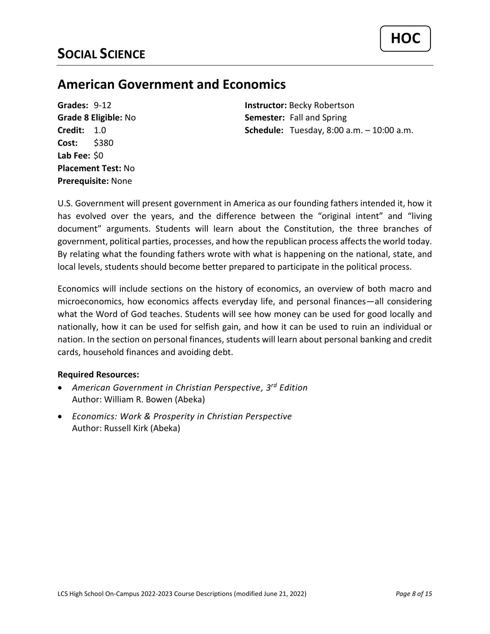## <span id="page-7-1"></span><span id="page-7-0"></span>**American Government and Economics**

**Cost:** \$380 **Lab Fee:** \$0 **Placement Test:** No **Prerequisite:** None

**Grades:** 9-12 **Instructor:** Becky Robertson **Grade 8 Eligible:** No **Semester:** Fall and Spring **Credit:** 1.0 **Schedule:** Tuesday, 8:00 a.m. – 10:00 a.m.

U.S. Government will present government in America as our founding fathers intended it, how it has evolved over the years, and the difference between the "original intent" and "living document" arguments. Students will learn about the Constitution, the three branches of government, political parties, processes, and how the republican process affects the world today. By relating what the founding fathers wrote with what is happening on the national, state, and local levels, students should become better prepared to participate in the political process.

Economics will include sections on the history of economics, an overview of both macro and microeconomics, how economics affects everyday life, and personal finances—all considering what the Word of God teaches. Students will see how money can be used for good locally and nationally, how it can be used for selfish gain, and how it can be used to ruin an individual or nation. In the section on personal finances, students will learn about personal banking and credit cards, household finances and avoiding debt.

- *American Government in Christian Perspective, 3 rd Edition* Author: William R. Bowen (Abeka)
- *Economics: Work & Prosperity in Christian Perspective* Author: Russell Kirk (Abeka)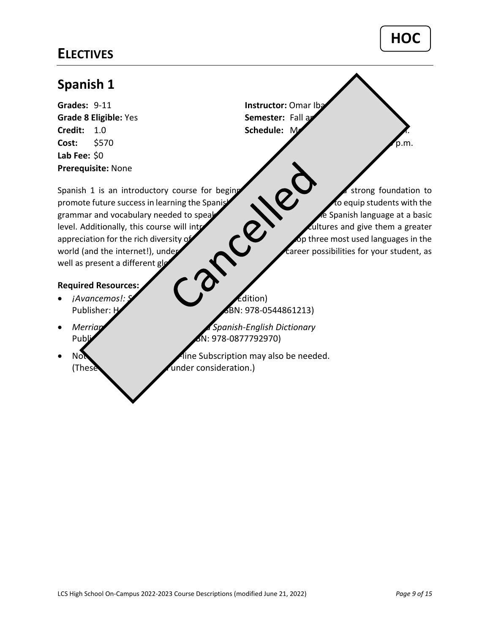## <span id="page-8-1"></span><span id="page-8-0"></span>**Spanish 1**

**Grades:** 9-11 **Instructor:** Omar Ibanez **Grade 8 Eligible:** Yes **Semester:** Fall and Spring Semester: Fall and Spring Semester: Fall and Spring Semester: Fall and Spring Semester: Fall and Spring Semester: Fall and Spring Semester: Fall and Spring Semester: Fall **Credit:** 1.0 **Schedule:** M **Cost:** \$570 **Thursday, 1:45 p.m.** 2:15 p.m. **Lab Fee:** \$0 **Prerequisite:** None

promote future success in learning the Spanish language. This coupling students with the grammar and vocabulary needed to speak, and write in the Spanish language at a basic level. Additionally, this course will introduce  $\blacksquare$ appreciation for the rich diversity of God's Cone of God's world. As one of the top three most used languages in the world (and the internet!), under  $\blacksquare$  Tareer possibilities for your student, as well as present a different global external and the internet!), under the speak of the speak of the internet!), under the internet of the speak of the speak of the speak of the speak of the speak of the speak of the speak of the speak of the speak of the s

Spanish 1 is an introductory course for beging  $\sim$   $\sim$  strong foundation to

## **Required Resources:**

- 
- 
- 

Publisher: Houghton Miss 2008 Mifflest (ISBN: 978-0544861213)

• *Merriam-Webster's Word-for-Word Spanish-English Dictionary* Publisher: Merriam-Webster (ISBN: 978-0877792970)

Note: Workbook and only also be needed. (These **resources are still under consideration.**)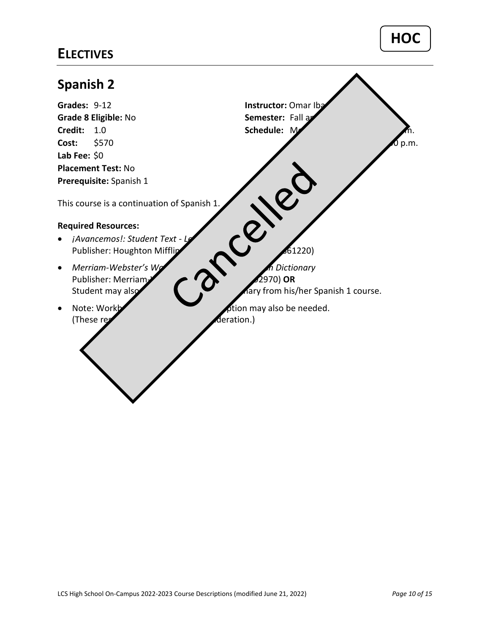<span id="page-9-0"></span>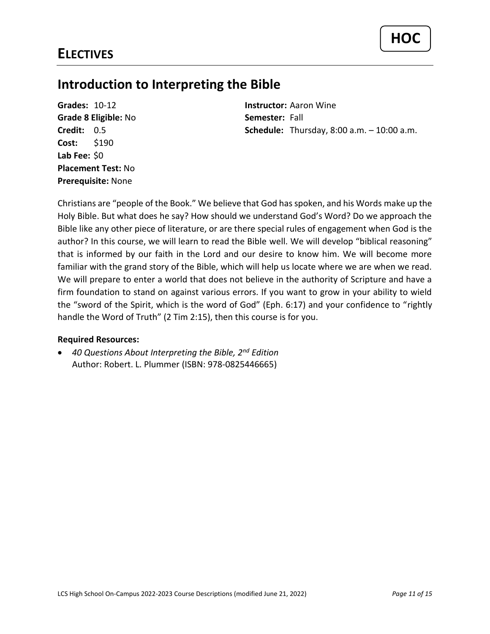## <span id="page-10-0"></span>**Introduction to Interpreting the Bible**

**Grades:** 10-12 **Instructor:** Aaron Wine **Grade 8 Eligible:** No **Semester:** Fall **Cost:** \$190 **Lab Fee:** \$0 **Placement Test:** No **Prerequisite:** None

**Credit:** 0.5 **Schedule:** Thursday, 8:00 a.m. – 10:00 a.m.

Christians are "people of the Book." We believe that God has spoken, and his Words make up the Holy Bible. But what does he say? How should we understand God's Word? Do we approach the Bible like any other piece of literature, or are there special rules of engagement when God is the author? In this course, we will learn to read the Bible well. We will develop "biblical reasoning" that is informed by our faith in the Lord and our desire to know him. We will become more familiar with the grand story of the Bible, which will help us locate where we are when we read. We will prepare to enter a world that does not believe in the authority of Scripture and have a firm foundation to stand on against various errors. If you want to grow in your ability to wield the "sword of the Spirit, which is the word of God" (Eph. 6:17) and your confidence to "rightly handle the Word of Truth" (2 Tim 2:15), then this course is for you.

## **Required Resources:**

• *40 Questions About Interpreting the Bible, 2nd Edition* Author: Robert. L. Plummer (ISBN: 978-0825446665)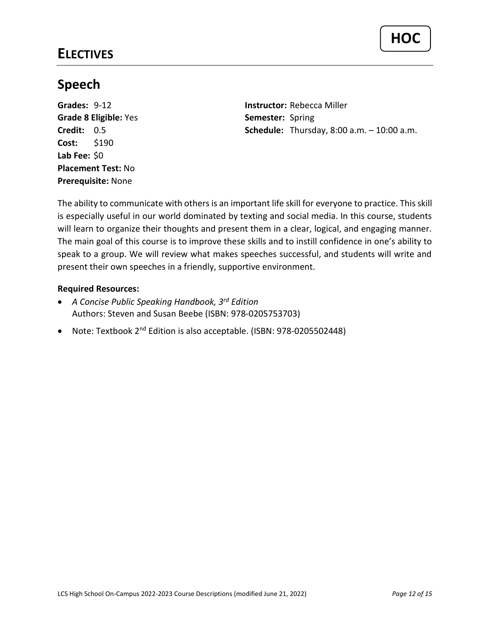# <span id="page-11-0"></span>**Speech**

**Grades:** 9-12 **Instructor:** Rebecca Miller **Grade 8 Eligible:** Yes **Semester:** Spring **Cost:** \$190 **Lab Fee:** \$0 **Placement Test:** No **Prerequisite:** None

**Credit:** 0.5 **Schedule:** Thursday, 8:00 a.m. – 10:00 a.m.

The ability to communicate with others is an important life skill for everyone to practice. This skill is especially useful in our world dominated by texting and social media. In this course, students will learn to organize their thoughts and present them in a clear, logical, and engaging manner. The main goal of this course is to improve these skills and to instill confidence in one's ability to speak to a group. We will review what makes speeches successful, and students will write and present their own speeches in a friendly, supportive environment.

- *A Concise Public Speaking Handbook, 3rd Edition* Authors: Steven and Susan Beebe (ISBN: 978-0205753703)
- Note: Textbook 2<sup>nd</sup> Edition is also acceptable. (ISBN: 978-0205502448)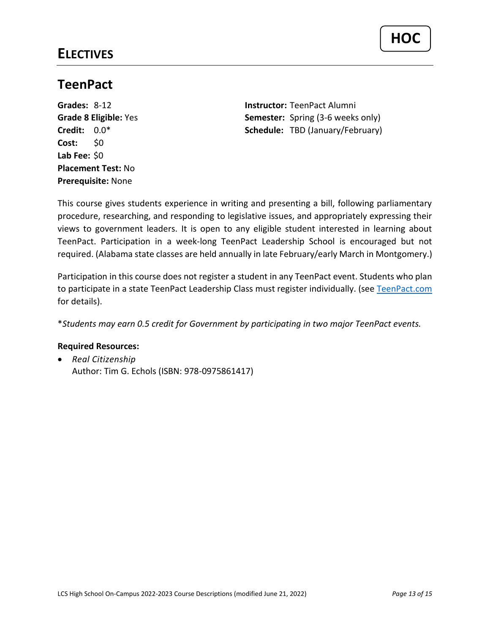## <span id="page-12-0"></span>**TeenPact**

**Cost:** \$0 **Lab Fee:** \$0 **Placement Test:** No **Prerequisite:** None

**Grades:** 8-12 **Instructor:** TeenPact Alumni **Grade 8 Eligible:** Yes **Semester:** Spring (3-6 weeks only) **Credit:** 0.0\* **Schedule:** TBD (January/February)

This course gives students experience in writing and presenting a bill, following parliamentary procedure, researching, and responding to legislative issues, and appropriately expressing their views to government leaders. It is open to any eligible student interested in learning about TeenPact. Participation in a week-long TeenPact Leadership School is encouraged but not required. (Alabama state classes are held annually in late February/early March in Montgomery.)

Participation in this course does not register a student in any TeenPact event. Students who plan to participate in a state TeenPact Leadership Class must register individually. (see [TeenPact.com](https://teenpact.com/) for details).

\**Students may earn 0.5 credit for Government by participating in two major TeenPact events.*

## **Required Resources:**

• *Real Citizenship* Author: Tim G. Echols (ISBN: 978-0975861417)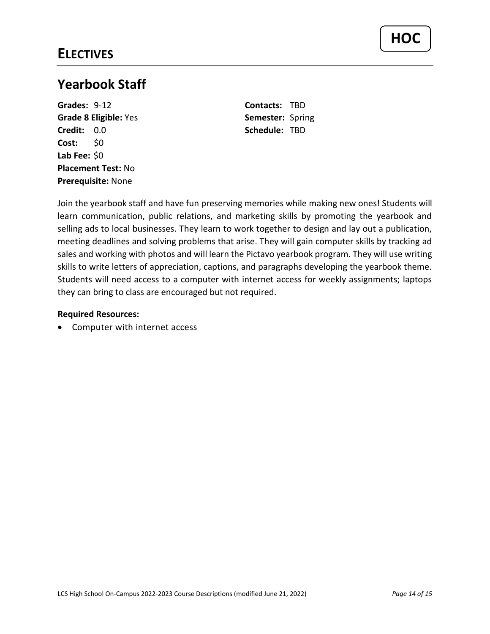# <span id="page-13-0"></span>**Yearbook Staff**

**Grades:** 9-12 **Contacts:** TBD **Grade 8 Eligible:** Yes **Semester:** Spring **Credit:** 0.0 **Schedule:** TBD **Cost:** \$0 **Lab Fee:** \$0 **Placement Test:** No **Prerequisite:** None

Join the yearbook staff and have fun preserving memories while making new ones! Students will learn communication, public relations, and marketing skills by promoting the yearbook and selling ads to local businesses. They learn to work together to design and lay out a publication, meeting deadlines and solving problems that arise. They will gain computer skills by tracking ad sales and working with photos and will learn the Pictavo yearbook program. They will use writing skills to write letters of appreciation, captions, and paragraphs developing the yearbook theme. Students will need access to a computer with internet access for weekly assignments; laptops they can bring to class are encouraged but not required.

## **Required Resources:**

• Computer with internet access